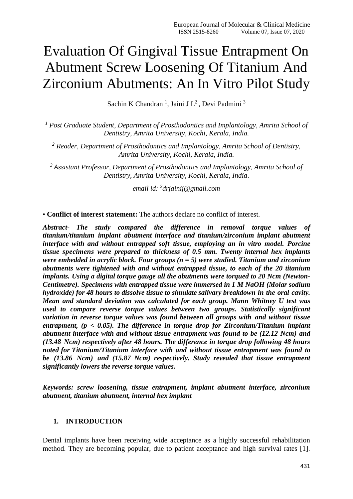# Evaluation Of Gingival Tissue Entrapment On Abutment Screw Loosening Of Titanium And Zirconium Abutments: An In Vitro Pilot Study

Sachin K Chandran<sup>1</sup>, Jaini J L<sup>2</sup>, Devi Padmini<sup>3</sup>

*<sup>1</sup> Post Graduate Student, Department of Prosthodontics and Implantology, Amrita School of Dentistry, Amrita University, Kochi, Kerala, India.*

*<sup>2</sup> Reader, Department of Prosthodontics and Implantology, Amrita School of Dentistry, Amrita University, Kochi, Kerala, India.*

*<sup>3</sup>Assistant Professor, Department of Prosthodontics and Implantology, Amrita School of Dentistry, Amrita University, Kochi, Kerala, India*.

*email id: <sup>2</sup> drjainij@gmail.com*

• **Conflict of interest statement:** The authors declare no conflict of interest.

*Abstract- The study compared the difference in removal torque values of titanium/titanium implant abutment interface and titanium/zirconium implant abutment interface with and without entrapped soft tissue, employing an in vitro model. Porcine tissue specimens were prepared to thickness of 0.5 mm. Twenty internal hex implants were embedded in acrylic block. Four groups (n = 5) were studied. Titanium and zirconium abutments were tightened with and without entrapped tissue, to each of the 20 titanium implants. Using a digital torque gauge all the abutments were torqued to 20 Ncm (Newton-Centimetre). Specimens with entrapped tissue were immersed in 1 M NaOH (Molar sodium hydroxide) for 48 hours to dissolve tissue to simulate salivary breakdown in the oral cavity. Mean and standard deviation was calculated for each group. Mann Whitney U test was used to compare reverse torque values between two groups. Statistically significant variation in reverse torque values was found between all groups with and without tissue entrapment, (p < 0.05). The difference in torque drop for Zirconium/Titanium implant abutment interface with and without tissue entrapment was found to be (12.12 Ncm) and (13.48 Ncm) respectively after 48 hours. The difference in torque drop following 48 hours noted for Titanium/Titanium interface with and without tissue entrapment was found to be (13.86 Ncm) and (15.87 Ncm) respectively. Study revealed that tissue entrapment significantly lowers the reverse torque values.*

*Keywords: screw loosening, tissue entrapment, implant abutment interface, zirconium abutment, titanium abutment, internal hex implant*

## **1. INTRODUCTION**

Dental implants have been receiving wide acceptance as a highly successful rehabilitation method. They are becoming popular, due to patient acceptance and high survival rates [1].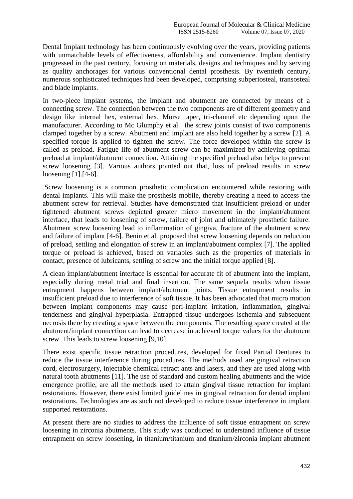Dental Implant technology has been continuously evolving over the years, providing patients with unmatchable levels of effectiveness, affordability and convenience. Implant dentistry progressed in the past century, focusing on materials, designs and techniques and by serving as quality anchorages for various conventional dental prosthesis. By twentieth century, numerous sophisticated techniques had been developed, comprising subperiosteal, transosteal and blade implants.

In two-piece implant systems, the implant and abutment are connected by means of a connecting screw. The connection between the two components are of different geometry and design like internal hex, external hex, Morse taper, tri-channel etc depending upon the manufacturer. According to Mc Glumphy et al. the screw joints consist of two components clamped together by a screw. Abutment and implant are also held together by a screw [2]. A specified torque is applied to tighten the screw. The force developed within the screw is called as preload. Fatigue life of abutment screw can be maximized by achieving optimal preload at implant/abutment connection. Attaining the specified preload also helps to prevent screw loosening [3]. Various authors pointed out that, loss of preload results in screw loosening [1].[4-6].

Screw loosening is a common prosthetic complication encountered while restoring with dental implants. This will make the prosthesis mobile, thereby creating a need to access the abutment screw for retrieval. Studies have demonstrated that insufficient preload or under tightened abutment screws depicted greater micro movement in the implant/abutment interface, that leads to loosening of screw, failure of joint and ultimately prosthetic failure. Abutment screw loosening lead to inflammation of gingiva, fracture of the abutment screw and failure of implant [4-6]. Benin et al. proposed that screw loosening depends on reduction of preload, settling and elongation of screw in an implant/abutment complex [7]. The applied torque or preload is achieved, based on variables such as the properties of materials in contact, presence of lubricants, settling of screw and the initial torque applied [8].

A clean implant/abutment interface is essential for accurate fit of abutment into the implant, especially during metal trial and final insertion. The same sequela results when tissue entrapment happens between implant/abutment joints. Tissue entrapment results in insufficient preload due to interference of soft tissue. It has been advocated that micro motion between implant components may cause peri-implant irritation, inflammation, gingival tenderness and gingival hyperplasia. Entrapped tissue undergoes ischemia and subsequent necrosis there by creating a space between the components. The resulting space created at the abutment/implant connection can lead to decrease in achieved torque values for the abutment screw. This leads to screw loosening [9,10].

There exist specific tissue retraction procedures, developed for fixed Partial Dentures to reduce the tissue interference during procedures. The methods used are gingival retraction cord, electrosurgery, injectable chemical retract ants and lasers, and they are used along with natural tooth abutments [11]. The use of standard and custom healing abutments and the wide emergence profile, are all the methods used to attain gingival tissue retraction for implant restorations. However, there exist limited guidelines in gingival retraction for dental implant restorations. Technologies are as such not developed to reduce tissue interference in implant supported restorations.

At present there are no studies to address the influence of soft tissue entrapment on screw loosening in zirconia abutments. This study was conducted to understand influence of tissue entrapment on screw loosening, in titanium/titanium and titanium/zirconia implant abutment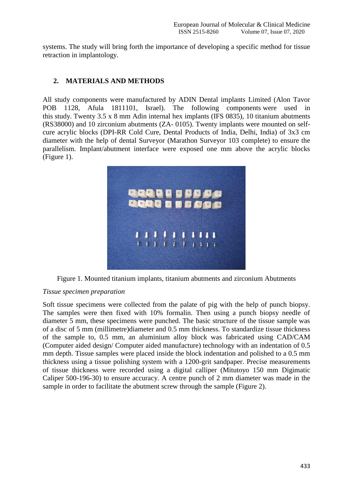systems. The study will bring forth the importance of developing a specific method for tissue retraction in implantology.

# **2. MATERIALS AND METHODS**

All study components were manufactured by ADIN Dental implants Limited (Alon Tavor POB 1128, Afula 1811101, Israel). The following components were used in this study. Twenty 3.5 x 8 mm Adin internal hex implants (IFS 0835), 10 titanium abutments (RS38000) and 10 zirconium abutments (ZA- 0105). Twenty implants were mounted on selfcure acrylic blocks (DPI-RR Cold Cure, Dental Products of India, Delhi, India) of 3x3 cm diameter with the help of dental Surveyor (Marathon Surveyor 103 complete) to ensure the parallelism. Implant/abutment interface were exposed one mm above the acrylic blocks (Figure 1).



Figure 1. Mounted titanium implants, titanium abutments and zirconium Abutments

## *Tissue specimen preparation*

Soft tissue specimens were collected from the palate of pig with the help of punch biopsy. The samples were then fixed with 10% formalin. Then using a punch biopsy needle of diameter 5 mm, these specimens were punched. The basic structure of the tissue sample was of a disc of 5 mm (millimetre)diameter and 0.5 mm thickness. To standardize tissue thickness of the sample to, 0.5 mm, an aluminium alloy block was fabricated using CAD/CAM (Computer aided design/ Computer aided manufacture) technology with an indentation of 0.5 mm depth. Tissue samples were placed inside the block indentation and polished to a 0.5 mm thickness using a tissue polishing system with a 1200-grit sandpaper. Precise measurements of tissue thickness were recorded using a digital calliper (Mitutoyo 150 mm Digimatic Caliper 500-196-30) to ensure accuracy. A centre punch of 2 mm diameter was made in the sample in order to facilitate the abutment screw through the sample (Figure 2).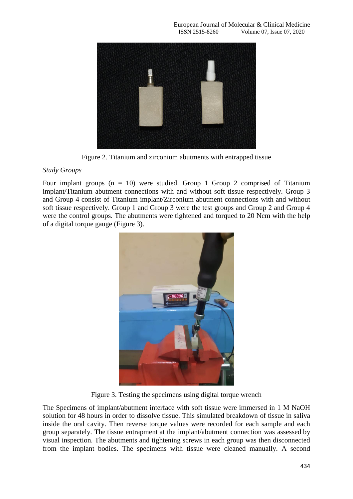

Figure 2. Titanium and zirconium abutments with entrapped tissue

# *Study Groups*

Four implant groups  $(n = 10)$  were studied. Group 1 Group 2 comprised of Titanium implant/Titanium abutment connections with and without soft tissue respectively. Group 3 and Group 4 consist of Titanium implant/Zirconium abutment connections with and without soft tissue respectively. Group 1 and Group 3 were the test groups and Group 2 and Group 4 were the control groups. The abutments were tightened and torqued to 20 Ncm with the help of a digital torque gauge (Figure 3).



Figure 3. Testing the specimens using digital torque wrench

The Specimens of implant/abutment interface with soft tissue were immersed in 1 M NaOH solution for 48 hours in order to dissolve tissue. This simulated breakdown of tissue in saliva inside the oral cavity. Then reverse torque values were recorded for each sample and each group separately. The tissue entrapment at the implant/abutment connection was assessed by visual inspection. The abutments and tightening screws in each group was then disconnected from the implant bodies. The specimens with tissue were cleaned manually. A second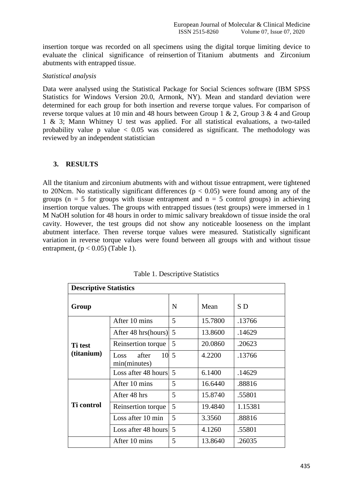insertion torque was recorded on all specimens using the digital torque limiting device to evaluate the clinical significance of reinsertion of Titanium abutments and Zirconium abutments with entrapped tissue.

## *Statistical analysis*

Data were analysed using the Statistical Package for Social Sciences software (IBM SPSS Statistics for Windows Version 20.0, Armonk, NY). Mean and standard deviation were determined for each group for both insertion and reverse torque values. For comparison of reverse torque values at 10 min and 48 hours between Group 1 & 2, Group 3 & 4 and Group 1 & 3; Mann Whitney U test was applied. For all statistical evaluations, a two-tailed probability value p value  $\langle 0.05 \rangle$  was considered as significant. The methodology was reviewed by an independent statistician

## **3. RESULTS**

All the titanium and zirconium abutments with and without tissue entrapment, were tightened to 20Ncm. No statistically significant differences ( $p < 0.05$ ) were found among any of the groups ( $n = 5$  for groups with tissue entrapment and  $n = 5$  control groups) in achieving insertion torque values. The groups with entrapped tissues (test groups) were immersed in 1 M NaOH solution for 48 hours in order to mimic salivary breakdown of tissue inside the oral cavity. However, the test groups did not show any noticeable looseness on the implant abutment interface. Then reverse torque values were measured. Statistically significant variation in reverse torque values were found between all groups with and without tissue entrapment,  $(p < 0.05)$  (Table 1).

| <b>Descriptive Statistics</b> |                                          |   |         |         |  |
|-------------------------------|------------------------------------------|---|---------|---------|--|
| Group                         |                                          | N | Mean    | S D     |  |
|                               | After 10 mins                            | 5 | 15.7800 | .13766  |  |
|                               | After 48 hrs(hours)                      | 5 | 13.8600 | .14629  |  |
| Ti test                       | Reinsertion torque                       | 5 | 20.0860 | .20623  |  |
| (titanium)                    | $10\,5$<br>after<br>Loss<br>min(minutes) |   | 4.2200  | .13766  |  |
|                               | Loss after 48 hours                      | 5 | 6.1400  | .14629  |  |
|                               | After 10 mins                            | 5 | 16.6440 | .88816  |  |
| <b>Ti</b> control             | After 48 hrs                             | 5 | 15.8740 | .55801  |  |
|                               | Reinsertion torque                       | 5 | 19.4840 | 1.15381 |  |
|                               | Loss after 10 min                        | 5 | 3.3560  | .88816  |  |
|                               | Loss after 48 hours                      | 5 | 4.1260  | .55801  |  |
|                               | After 10 mins                            | 5 | 13.8640 | .26035  |  |

| Table 1. Descriptive Statistics |  |  |  |  |
|---------------------------------|--|--|--|--|
|---------------------------------|--|--|--|--|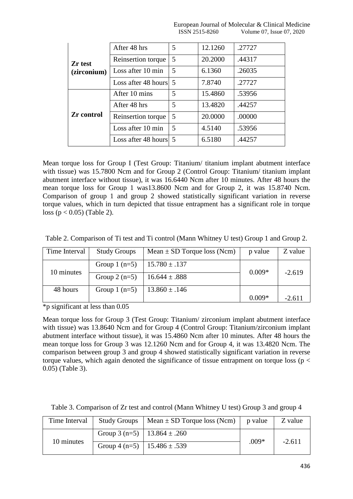|                        | After 48 hrs          | 5 | 12.1260 | .27727 |
|------------------------|-----------------------|---|---------|--------|
| Zr test<br>(zirconium) | Reinsertion torque    | 5 | 20.2000 | .44317 |
|                        | Loss after 10 min     | 5 | 6.1360  | .26035 |
|                        | Loss after 48 hours 5 |   | 7.8740  | .27727 |
| <b>Zr</b> control      | After 10 mins         | 5 | 15.4860 | .53956 |
|                        | After 48 hrs          | 5 | 13.4820 | .44257 |
|                        | Reinsertion torque    | 5 | 20.0000 | .00000 |
|                        | Loss after 10 min     | 5 | 4.5140  | .53956 |
|                        | Loss after 48 hours 5 |   | 6.5180  | .44257 |

Mean torque loss for Group I (Test Group: Titanium/ titanium implant abutment interface with tissue) was 15.7800 Ncm and for Group 2 (Control Group: Titanium/ titanium implant abutment interface without tissue), it was 16.6440 Ncm after 10 minutes. After 48 hours the mean torque loss for Group 1 was13.8600 Ncm and for Group 2, it was 15.8740 Ncm. Comparison of group 1 and group 2 showed statistically significant variation in reverse torque values, which in turn depicted that tissue entrapment has a significant role in torque loss ( $p < 0.05$ ) (Table 2).

| Time Interval | <b>Study Groups</b> | Mean $\pm$ SD Torque loss (Ncm) | p value  | Z value  |
|---------------|---------------------|---------------------------------|----------|----------|
| 10 minutes    | Group $1$ (n=5)     | $15.780 \pm .137$               | $0.009*$ | $-2.619$ |
|               | Group $2(n=5)$      | $16.644 \pm .888$               |          |          |
| 48 hours      | Group $1$ (n=5)     | $13.860 \pm .146$               |          |          |
|               |                     |                                 | $0.009*$ | $-2.611$ |

Table 2. Comparison of Ti test and Ti control (Mann Whitney U test) Group 1 and Group 2.

\*p significant at less than 0.05

Mean torque loss for Group 3 (Test Group: Titanium/ zirconium implant abutment interface with tissue) was 13.8640 Ncm and for Group 4 (Control Group: Titanium/zirconium implant abutment interface without tissue), it was 15.4860 Ncm after 10 minutes. After 48 hours the mean torque loss for Group 3 was 12.1260 Ncm and for Group 4, it was 13.4820 Ncm. The comparison between group 3 and group 4 showed statistically significant variation in reverse torque values, which again denoted the significance of tissue entrapment on torque loss ( $p <$ 0.05) (Table 3).

| Time Interval | <b>Study Groups</b>               | Mean $\pm$ SD Torque loss (Ncm) | p value | Z value  |
|---------------|-----------------------------------|---------------------------------|---------|----------|
| 10 minutes    | Group 3 (n=5)   $13.864 \pm .260$ |                                 |         | $-2.611$ |
|               | Group 4 (n=5)   $15.486 \pm .539$ |                                 | $.009*$ |          |

Table 3. Comparison of Zr test and control (Mann Whitney U test) Group 3 and group 4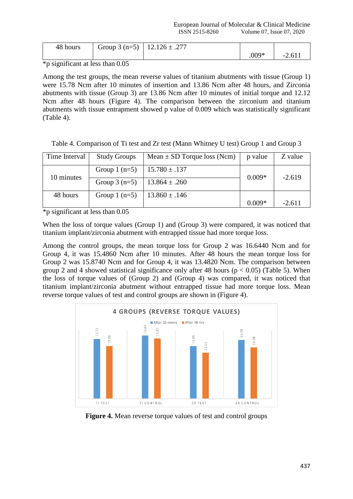| 48 hours | Group 3 (n=5)   $12.126 \pm .277$ |         |           |
|----------|-----------------------------------|---------|-----------|
|          |                                   | $.009*$ | $-2.61$ . |

\*p significant at less than 0.05

Among the test groups, the mean reverse values of titanium abutments with tissue (Group 1) were 15.78 Ncm after 10 minutes of insertion and 13.86 Ncm after 48 hours, and Zirconia abutments with tissue (Group 3) are 13.86 Ncm after 10 minutes of initial torque and 12.12 Ncm after 48 hours (Figure 4). The comparison between the zirconium and titanium abutments with tissue entrapment showed p value of 0.009 which was statistically significant (Table 4).

Table 4. Comparison of Ti test and Zr test (Mann Whitney U test) Group 1 and Group 3

| Time Interval | <b>Study Groups</b> | Mean $\pm$ SD Torque loss (Ncm) | p value  | Z value  |
|---------------|---------------------|---------------------------------|----------|----------|
| 10 minutes    | Group $1$ (n=5)     | $15.780 \pm .137$               | $0.009*$ | $-2.619$ |
|               | Group $3(n=5)$      | $13.864 \pm .260$               |          |          |
| 48 hours      | Group $1$ (n=5)     | $13.860 \pm .146$               |          |          |
|               |                     |                                 | $0.009*$ | $-2.611$ |

\*p significant at less than 0.05

When the loss of torque values (Group 1) and (Group 3) were compared, it was noticed that titanium implant/zirconia abutment with entrapped tissue had more torque loss.

Among the control groups, the mean torque loss for Group 2 was 16.6440 Ncm and for Group 4, it was 15.4860 Ncm after 10 minutes. After 48 hours the mean torque loss for Group 2 was 15.8740 Ncm and for Group 4, it was 13.4820 Ncm. The comparison between group 2 and 4 showed statistical significance only after 48 hours ( $p < 0.05$ ) (Table 5). When the loss of torque values of (Group 2) and (Group 4) was compared, it was noticed that titanium implant/zirconia abutment without entrapped tissue had more torque loss. Mean reverse torque values of test and control groups are shown in (Figure 4).



**Figure 4.** Mean reverse torque values of test and control groups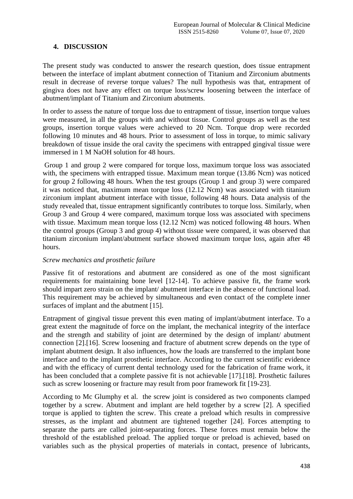# **4. DISCUSSION**

The present study was conducted to answer the research question, does tissue entrapment between the interface of implant abutment connection of Titanium and Zirconium abutments result in decrease of reverse torque values? The null hypothesis was that, entrapment of gingiva does not have any effect on torque loss/screw loosening between the interface of abutment/implant of Titanium and Zirconium abutments.

In order to assess the nature of torque loss due to entrapment of tissue, insertion torque values were measured, in all the groups with and without tissue. Control groups as well as the test groups, insertion torque values were achieved to 20 Ncm. Torque drop were recorded following 10 minutes and 48 hours. Prior to assessment of loss in torque, to mimic salivary breakdown of tissue inside the oral cavity the specimens with entrapped gingival tissue were immersed in 1 M NaOH solution for 48 hours.

Group 1 and group 2 were compared for torque loss, maximum torque loss was associated with, the specimens with entrapped tissue. Maximum mean torque (13.86 Ncm) was noticed for group 2 following 48 hours. When the test groups (Group 1 and group 3) were compared it was noticed that, maximum mean torque loss (12.12 Ncm) was associated with titanium zirconium implant abutment interface with tissue, following 48 hours. Data analysis of the study revealed that, tissue entrapment significantly contributes to torque loss. Similarly, when Group 3 and Group 4 were compared, maximum torque loss was associated with specimens with tissue. Maximum mean torque loss (12.12 Ncm) was noticed following 48 hours. When the control groups (Group 3 and group 4) without tissue were compared, it was observed that titanium zirconium implant/abutment surface showed maximum torque loss, again after 48 hours.

# *Screw mechanics and prosthetic failure*

Passive fit of restorations and abutment are considered as one of the most significant requirements for maintaining bone level [12-14]. To achieve passive fit, the frame work should impart zero strain on the implant/ abutment interface in the absence of functional load. This requirement may be achieved by simultaneous and even contact of the complete inner surfaces of implant and the abutment [15].

Entrapment of gingival tissue prevent this even mating of implant/abutment interface. To a great extent the magnitude of force on the implant, the mechanical integrity of the interface and the strength and stability of joint are determined by the design of implant/ abutment connection [2].[16]. Screw loosening and fracture of abutment screw depends on the type of implant abutment design. It also influences, how the loads are transferred to the implant bone interface and to the implant prosthetic interface. According to the current scientific evidence and with the efficacy of current dental technology used for the fabrication of frame work, it has been concluded that a complete passive fit is not achievable [17].[18]. Prosthetic failures such as screw loosening or fracture may result from poor framework fit [19-23].

According to Mc Glumphy et al. the screw joint is considered as two components clamped together by a screw. Abutment and implant are held together by a screw [2]. A specified torque is applied to tighten the screw. This create a preload which results in compressive stresses, as the implant and abutment are tightened together [24]. Forces attempting to separate the parts are called joint-separating forces. These forces must remain below the threshold of the established preload. The applied torque or preload is achieved, based on variables such as the physical properties of materials in contact, presence of lubricants,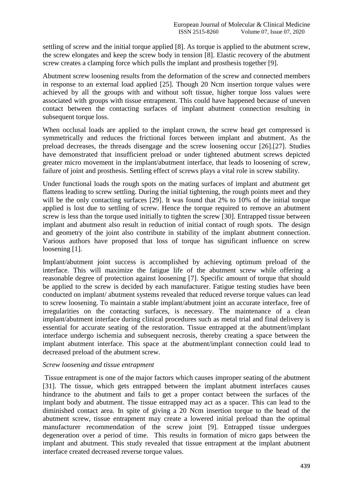settling of screw and the initial torque applied [8]. As torque is applied to the abutment screw, the screw elongates and keep the screw body in tension [8]. Elastic recovery of the abutment screw creates a clamping force which pulls the implant and prosthesis together [9].

Abutment screw loosening results from the deformation of the screw and connected members in response to an external load applied [25]. Though 20 Ncm insertion torque values were achieved by all the groups with and without soft tissue, higher torque loss values were associated with groups with tissue entrapment. This could have happened because of uneven contact between the contacting surfaces of implant abutment connection resulting in subsequent torque loss.

When occlusal loads are applied to the implant crown, the screw head get compressed is symmetrically and reduces the frictional forces between implant and abutment. As the preload decreases, the threads disengage and the screw loosening occur [26].[27]. Studies have demonstrated that insufficient preload or under tightened abutment screws depicted greater micro movement in the implant/abutment interface, that leads to loosening of screw, failure of joint and prosthesis. Settling effect of screws plays a vital role in screw stability.

Under functional loads the rough spots on the mating surfaces of implant and abutment get flattens leading to screw settling. During the initial tightening, the rough points meet and they will be the only contacting surfaces [29]. It was found that 2% to 10% of the initial torque applied is lost due to settling of screw. Hence the torque required to remove an abutment screw is less than the torque used initially to tighten the screw [30]. Entrapped tissue between implant and abutment also result in reduction of initial contact of rough spots. The design and geometry of the joint also contribute in stability of the implant abutment connection. Various authors have proposed that loss of torque has significant influence on screw loosening [1].

Implant/abutment joint success is accomplished by achieving optimum preload of the interface. This will maximize the fatigue life of the abutment screw while offering a reasonable degree of protection against loosening [7]. Specific amount of torque that should be applied to the screw is decided by each manufacturer. Fatigue testing studies have been conducted on implant/ abutment systems revealed that reduced reverse torque values can lead to screw loosening. To maintain a stable implant/abutment joint an accurate interface, free of irregularities on the contacting surfaces, is necessary. The maintenance of a clean implant/abutment interface during clinical procedures such as metal trial and final delivery is essential for accurate seating of the restoration. Tissue entrapped at the abutment/implant interface undergo ischemia and subsequent necrosis, thereby creating a space between the implant abutment interface. This space at the abutment/implant connection could lead to decreased preload of the abutment screw.

## *Screw loosening and tissue entrapment*

Tissue entrapment is one of the major factors which causes improper seating of the abutment [31]. The tissue, which gets entrapped between the implant abutment interfaces causes hindrance to the abutment and fails to get a proper contact between the surfaces of the implant body and abutment. The tissue entrapped may act as a spacer. This can lead to the diminished contact area. In spite of giving a 20 Ncm insertion torque to the head of the abutment screw, tissue entrapment may create a lowered initial preload than the optimal manufacturer recommendation of the screw joint [9]. Entrapped tissue undergoes degeneration over a period of time. This results in formation of micro gaps between the implant and abutment. This study revealed that tissue entrapment at the implant abutment interface created decreased reverse torque values.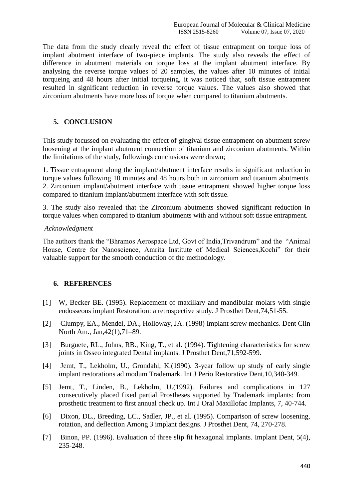The data from the study clearly reveal the effect of tissue entrapment on torque loss of implant abutment interface of two-piece implants. The study also reveals the effect of difference in abutment materials on torque loss at the implant abutment interface. By analysing the reverse torque values of 20 samples, the values after 10 minutes of initial torqueing and 48 hours after initial torqueing, it was noticed that, soft tissue entrapment resulted in significant reduction in reverse torque values. The values also showed that zirconium abutments have more loss of torque when compared to titanium abutments.

# **5. CONCLUSION**

This study focussed on evaluating the effect of gingival tissue entrapment on abutment screw loosening at the implant abutment connection of titanium and zirconium abutments. Within the limitations of the study, followings conclusions were drawn;

1. Tissue entrapment along the implant/abutment interface results in significant reduction in torque values following 10 minutes and 48 hours both in zirconium and titanium abutments. 2. Zirconium implant/abutment interface with tissue entrapment showed higher torque loss compared to titanium implant/abutment interface with soft tissue.

3. The study also revealed that the Zirconium abutments showed significant reduction in torque values when compared to titanium abutments with and without soft tissue entrapment.

#### *Acknowledgment*

The authors thank the "Bhramos Aerospace Ltd, Govt of India,Trivandrum" and the "Animal House, Centre for Nanoscience, Amrita Institute of Medical Sciences,Kochi" for their valuable support for the smooth conduction of the methodology.

## **6. REFERENCES**

- [1] W, Becker BE. (1995). Replacement of maxillary and mandibular molars with single endosseous implant Restoration: a retrospective study. J Prosthet Dent,74,51-55.
- [2] Clumpy, EA., Mendel, DA., Holloway, JA. (1998) Implant screw mechanics. Dent Clin North Am., Jan,42(1),71–89.
- [3] Burguete, RL., Johns, RB., King, T., et al. (1994). Tightening characteristics for screw joints in Osseo integrated Dental implants. J Prosthet Dent,71,592-599.
- [4] Jemt, T., Lekholm, U., Grondahl, K.(1990). 3-year follow up study of early single implant restorations ad modum Trademark. Int J Perio Restorative Dent,10,340-349.
- [5] Jemt, T., Linden, B., Lekholm, U.(1992). Failures and complications in 127 consecutively placed fixed partial Prostheses supported by Trademark implants: from prosthetic treatment to first annual check up. Int J Oral Maxillofac Implants, 7, 40-744.
- [6] Dixon, DL., Breeding, LC., Sadler, JP., et al. (1995). Comparison of screw loosening, rotation, and deflection Among 3 implant designs. J Prosthet Dent, 74, 270-278.
- [7] Binon, PP. (1996). Evaluation of three slip fit hexagonal implants. Implant Dent, 5(4), 235-248.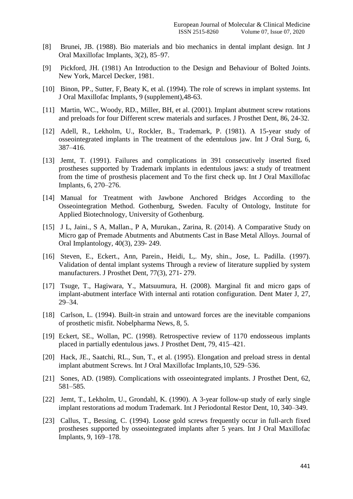- [8] Brunei, JB. (1988). Bio materials and bio mechanics in dental implant design. Int J Oral Maxillofac Implants, 3(2), 85–97.
- [9] Pickford, JH. (1981) An Introduction to the Design and Behaviour of Bolted Joints. New York, Marcel Decker, 1981.
- [10] Binon, PP., Sutter, F, Beaty K, et al. (1994). The role of screws in implant systems. Int J Oral Maxillofac Implants, 9 (supplement),48-63.
- [11] Martin, WC., Woody, RD., Miller, BH, et al. (2001). Implant abutment screw rotations and preloads for four Different screw materials and surfaces. J Prosthet Dent, 86, 24-32.
- [12] Adell, R., Lekholm, U., Rockler, B., Trademark, P. (1981). A 15-year study of osseointegrated implants in The treatment of the edentulous jaw. Int J Oral Surg, 6, 387–416.
- [13] Jemt, T. (1991). Failures and complications in 391 consecutively inserted fixed prostheses supported by Trademark implants in edentulous jaws: a study of treatment from the time of prosthesis placement and To the first check up. Int J Oral Maxillofac Implants, 6, 270–276.
- [14] Manual for Treatment with Jawbone Anchored Bridges According to the Osseointegration Method. Gothenburg, Sweden. Faculty of Ontology, Institute for Applied Biotechnology, University of Gothenburg.
- [15] J L, Jaini., S A, Mallan., P A, Murukan., Zarina, R. (2014). A Comparative Study on Micro gap of Premade Abutments and Abutments Cast in Base Metal Alloys. Journal of Oral Implantology, 40(3), 239- 249.
- [16] Steven, E., Eckert., Ann, Parein., Heidi, L,. My, shin., Jose, L. Padilla. (1997). Validation of dental implant systems Through a review of literature supplied by system manufacturers. J Prosthet Dent, 77(3), 271- 279.
- [17] Tsuge, T., Hagiwara, Y., Matsuumura, H. (2008). Marginal fit and micro gaps of implant-abutment interface With internal anti rotation configuration. Dent Mater J, 27, 29–34.
- [18] Carlson, L. (1994). Built-in strain and untoward forces are the inevitable companions of prosthetic misfit. Nobelpharma News, 8, 5.
- [19] Eckert, SE., Wollan, PC. (1998). Retrospective review of 1170 endosseous implants placed in partially edentulous jaws. J Prosthet Dent, 79, 415–421.
- [20] Hack, JE., Saatchi, RL., Sun, T., et al. (1995). Elongation and preload stress in dental implant abutment Screws. Int J Oral Maxillofac Implants,10, 529–536.
- [21] Sones, AD. (1989). Complications with osseointegrated implants. J Prosthet Dent, 62, 581–585.
- [22] Jemt, T., Lekholm, U., Grondahl, K. (1990). A 3-year follow-up study of early single implant restorations ad modum Trademark. Int J Periodontal Restor Dent, 10, 340–349.
- [23] Callus, T., Bessing, C. (1994). Loose gold screws frequently occur in full-arch fixed prostheses supported by osseointegrated implants after 5 years. Int J Oral Maxillofac Implants, 9, 169–178.